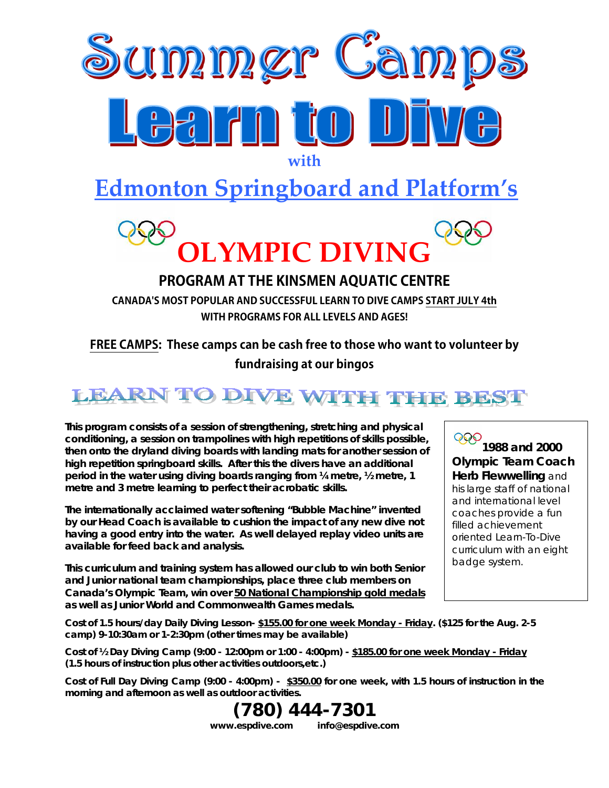

# **Edmonton Springboard and Platform's**



## **PROGRAM AT THE KINSMEN AQUATIC CENTRE**

**CANADA'S MOST POPULAR AND SUCCESSFUL LEARN TO DIVE CAMPS START JULY 4th WITH PROGRAMS FOR ALL LEVELS AND AGES!**

### **FREE CAMPS: These camps can be cash free to those who want to volunteer by fundraising at our bingos**

## **LEARN TO DIVE WITH THE BEST**

**This program consists of a session of strengthening, stretching and physical conditioning, a session on trampolines with high repetitions of skills possible, then onto the dryland diving boards with landing mats for another session of high repetition springboard skills. After this the divers have an additional period in the water using diving boards ranging from ¼ metre, ½ metre, 1 metre and 3 metre learning to perfect their acrobatic skills.** 

**The internationally acclaimed water softening "Bubble Machine" invented by our Head Coach is available to cushion the impact of any new dive not having a good entry into the water. As well delayed replay video units are available for feed back and analysis.** 

**This curriculum and training system has allowed our club to win both Senior and Junior national team championships, place three club members on Canada's Olympic Team, win over 50 National Championship gold medals as well as Junior World and Commonwealth Games medals.** 

#### 999 **1988 and 2000 Olympic Team Coach Herb Flewwelling** and his large staff of national and international level coaches provide a fun filled achievement oriented Learn-To-Dive curriculum with an eight badge system.

**Cost of 1.5 hours/day Daily Diving Lesson- \$155.00 for one week Monday - Friday. (\$125 for the Aug. 2-5 camp) 9-10:30am or 1-2:30pm (other times may be available)**

**Cost of ½ Day Diving Camp (9:00 - 12:00pm or 1:00 - 4:00pm) - \$185.00 for one week Monday - Friday (1.5 hours of instruction plus other activities outdoors,etc.)**

**Cost of Full Day Diving Camp (9:00 - 4:00pm) - \$350.00 for one week, with 1.5 hours of instruction in the morning and afternoon as well as outdoor activities.**

> **(780) 444-7301 www.espdive.com info@espdive.com**